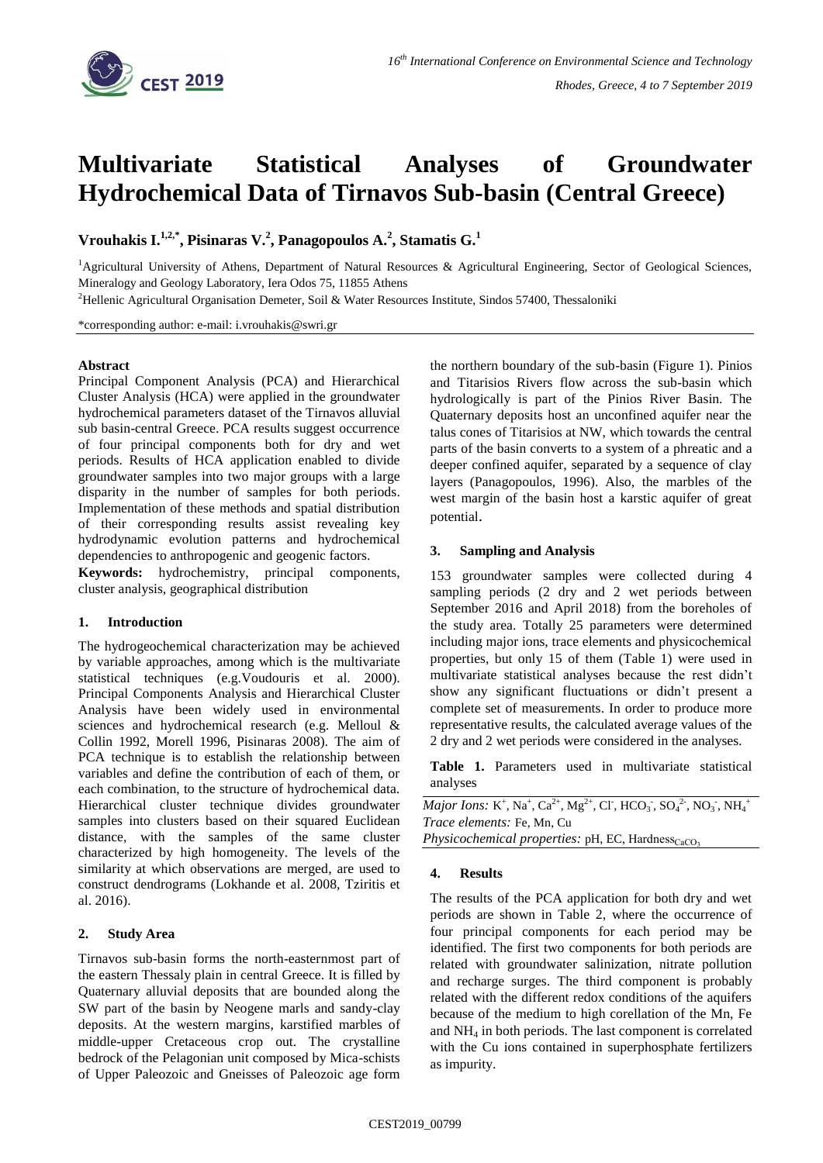

# **Multivariate Statistical Analyses of Groundwater Hydrochemical Data of Tirnavos Sub-basin (Central Greece)**

**Vrouhakis I. 1,2,\* , Pisinaras V. 2 , Panagopoulos A. 2 , Stamatis G. 1**

<sup>1</sup>Agricultural University of Athens, Department of Natural Resources & Agricultural Engineering, Sector of Geological Sciences, Mineralogy and Geology Laboratory, Iera Odos 75, 11855 Athens

<sup>2</sup>Hellenic Agricultural Organisation Demeter, Soil & Water Resources Institute, Sindos 57400, Thessaloniki

\*corresponding author: e-mail: i.vrouhakis@swri.gr

### **Abstract**

Principal Component Analysis (PCA) and Hierarchical Cluster Analysis (HCA) were applied in the groundwater hydrochemical parameters dataset of the Tirnavos alluvial sub basin-central Greece. PCA results suggest occurrence of four principal components both for dry and wet periods. Results of HCA application enabled to divide groundwater samples into two major groups with a large disparity in the number of samples for both periods. Implementation of these methods and spatial distribution of their corresponding results assist revealing key hydrodynamic evolution patterns and hydrochemical dependencies to anthropogenic and geogenic factors.

**Keywords:** hydrochemistry, principal components, cluster analysis, geographical distribution

#### **1. Introduction**

The hydrogeochemical characterization may be achieved by variable approaches, among which is the multivariate statistical techniques (e.g.Voudouris et al. 2000). Principal Components Analysis and Hierarchical Cluster Analysis have been widely used in environmental sciences and hydrochemical research (e.g. Melloul & Collin 1992, Morell 1996, Pisinaras 2008). The aim of PCA technique is to establish the relationship between variables and define the contribution of each of them, or each combination, to the structure of hydrochemical data. Hierarchical cluster technique divides groundwater samples into clusters based on their squared Euclidean distance, with the samples of the same cluster characterized by high homogeneity. The levels of the similarity at which observations are merged, are used to construct dendrograms (Lokhande et al. 2008, Tziritis et al. 2016).

#### **2. Study Area**

Tirnavos sub-basin forms the north-easternmost part of the eastern Thessaly plain in central Greece. It is filled by Quaternary alluvial deposits that are bounded along the SW part of the basin by Neogene marls and sandy-clay deposits. At the western margins, karstified marbles of middle-upper Cretaceous crop out. The crystalline bedrock of the Pelagonian unit composed by Mica-schists of Upper Paleozoic and Gneisses of Paleozoic age form

the northern boundary of the sub-basin (Figure 1). Pinios and Titarisios Rivers flow across the sub-basin which hydrologically is part of the Pinios River Basin. The Quaternary deposits host an unconfined aquifer near the talus cones of Titarisios at NW, which towards the central parts of the basin converts to a system of a phreatic and a deeper confined aquifer, separated by a sequence of clay layers (Panagopoulos, 1996). Also, the marbles of the west margin of the basin host a karstic aquifer of great potential.

## **3. Sampling and Analysis**

153 groundwater samples were collected during 4 sampling periods (2 dry and 2 wet periods between September 2016 and April 2018) from the boreholes of the study area. Totally 25 parameters were determined including major ions, trace elements and physicochemical properties, but only 15 of them (Table 1) were used in multivariate statistical analyses because the rest didn't show any significant fluctuations or didn't present a complete set of measurements. In order to produce more representative results, the calculated average values of the 2 dry and 2 wet periods were considered in the analyses.

**Table 1.** Parameters used in multivariate statistical analyses

*Major Ions:* K<sup>+</sup>, Na<sup>+</sup>, Ca<sup>2+</sup>, Mg<sup>2+</sup>, Cl<sup>-</sup>, HCO<sub>3</sub>, SO<sub>4</sub><sup>2-</sup>, NO<sub>3</sub>, NH<sub>4</sub><sup>+</sup> *Trace elements:* Fe, Mn, Cu

*Physicochemical properties:* pH, EC, Hardness<sub>CaCO</sub>,

#### **4. Results**

The results of the PCA application for both dry and wet periods are shown in Table 2, where the occurrence of four principal components for each period may be identified. The first two components for both periods are related with groundwater salinization, nitrate pollution and recharge surges. The third component is probably related with the different redox conditions of the aquifers because of the medium to high corellation of the Mn, Fe and NH<sup>4</sup> in both periods. The last component is correlated with the Cu ions contained in superphosphate fertilizers as impurity.